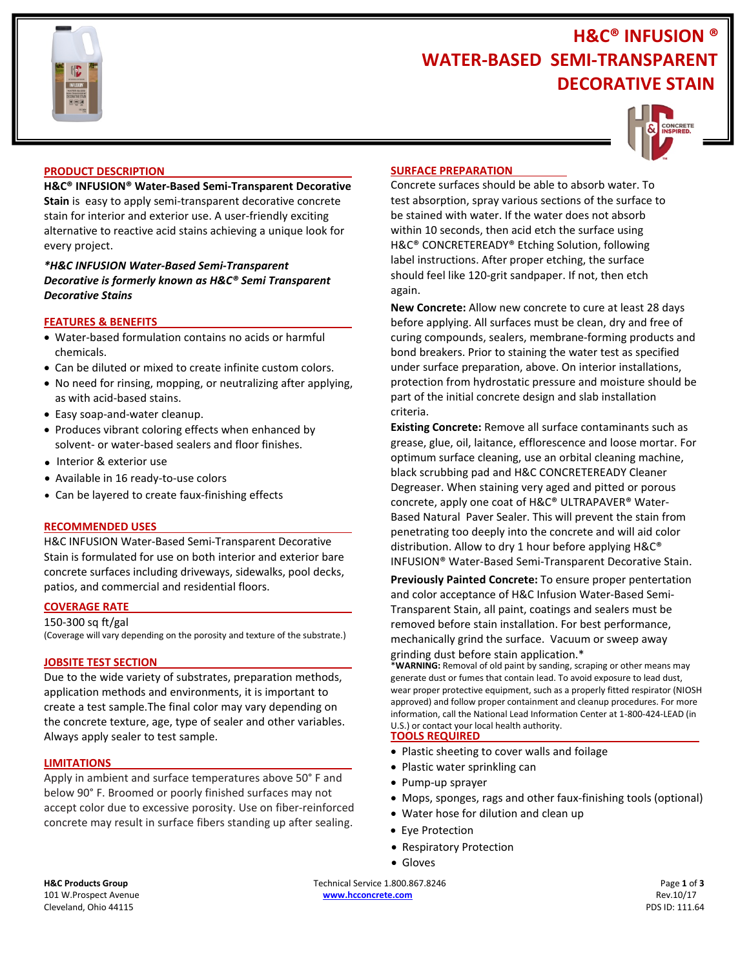

# **H&C® INFUSION ® WATER-BASED SEMI-TRANSPARENT DECORATIVE STAIN**



#### **PRODUCT DESCRIPTION**

**H&C® INFUSION® Water-Based Semi-Transparent Decorative Stain** is easy to apply semi-transparent decorative concrete stain for interior and exterior use. A user-friendly exciting alternative to reactive acid stains achieving a unique look for every project.

# *\*H&C INFUSION Water-Based Semi-Transparent Decorative is formerly known as H&C® Semi Transparent Decorative Stains*

## **FEATURES & BENEFITS**

- Water-based formulation contains no acids or harmful chemicals.
- Can be diluted or mixed to create infinite custom colors.
- No need for rinsing, mopping, or neutralizing after applying, as with acid-based stains.
- Easy soap-and-water cleanup.
- Produces vibrant coloring effects when enhanced by solvent- or water-based sealers and floor finishes.
- Interior & exterior use
- Available in 16 ready-to-use colors
- **Can be layered to create faux-finishing effects**

#### **RECOMMENDED USES**

H&C INFUSION Water-Based Semi-Transparent Decorative Stain is formulated for use on both interior and exterior bare concrete surfaces including driveways, sidewalks, pool decks, patios, and commercial and residential floors.

#### **COVERAGE RATE**

#### 150-300 sq ft/gal

(Coverage will vary depending on the porosity and texture of the substrate.)

#### **JOBSITE TEST SECTION**

Due to the wide variety of substrates, preparation methods, application methods and environments, it is important to create a test sample.The final color may vary depending on the concrete texture, age, type of sealer and other variables. Always apply sealer to test sample.

#### **LIMITATIONS**

Apply in ambient and surface temperatures above 50° F and below 90° F. Broomed or poorly finished surfaces may not accept color due to excessive porosity. Use on fiber-reinforced concrete may result in surface fibers standing up after sealing.

#### **SURFACE PREPARATION**

Concrete surfaces should be able to absorb water. To test absorption, spray various sections of the surface to be stained with water. If the water does not absorb within 10 seconds, then acid etch the surface using H&C® CONCRETEREADY® Etching Solution, following label instructions. After proper etching, the surface should feel like 120-grit sandpaper. If not, then etch again.

**New Concrete:** Allow new concrete to cure at least 28 days before applying. All surfaces must be clean, dry and free of curing compounds, sealers, membrane-forming products and bond breakers. Prior to staining the water test as specified under surface preparation, above. On interior installations, protection from hydrostatic pressure and moisture should be part of the initial concrete design and slab installation criteria.

**Existing Concrete:** Remove all surface contaminants such as grease, glue, oil, laitance, efflorescence and loose mortar. For optimum surface cleaning, use an orbital cleaning machine, black scrubbing pad and H&C CONCRETEREADY Cleaner Degreaser. When staining very aged and pitted or porous concrete, apply one coat of H&C® ULTRAPAVER® Water-Based Natural Paver Sealer. This will prevent the stain from penetrating too deeply into the concrete and will aid color distribution. Allow to dry 1 hour before applying H&C® INFUSION® Water-Based Semi-Transparent Decorative Stain.

**Previously Painted Concrete:** To ensure proper pentertation and color acceptance of H&C Infusion Water-Based Semi-Transparent Stain, all paint, coatings and sealers must be removed before stain installation. For best performance, mechanically grind the surface. Vacuum or sweep away grinding dust before stain application.\*

\***WARNING:** Removal of old paint by sanding, scraping or other means may generate dust or fumes that contain lead. To avoid exposure to lead dust, wear proper protective equipment, such as a properly fitted respirator (NIOSH approved) and follow proper containment and cleanup procedures. For more information, call the National Lead Information Center at 1-800-424-LEAD (in U.S.) or contact your local health authority.

#### **TOOLS REQUIRED**

- Plastic sheeting to cover walls and foilage
- Plastic water sprinkling can
- Pump-up sprayer
- Mops, sponges, rags and other faux-finishing tools (optional)
- Water hose for dilution and clean up
- Eye Protection
- Respiratory Protection
- Gloves

**H&C Products Group** Page 1 of 3 **Technical Service 1.800.867.8246** Page 1 of 3 101 W.Prospect Avenue **[www.hcconcrete.com](http://www.hcconcrete.com/)** Rev.10/17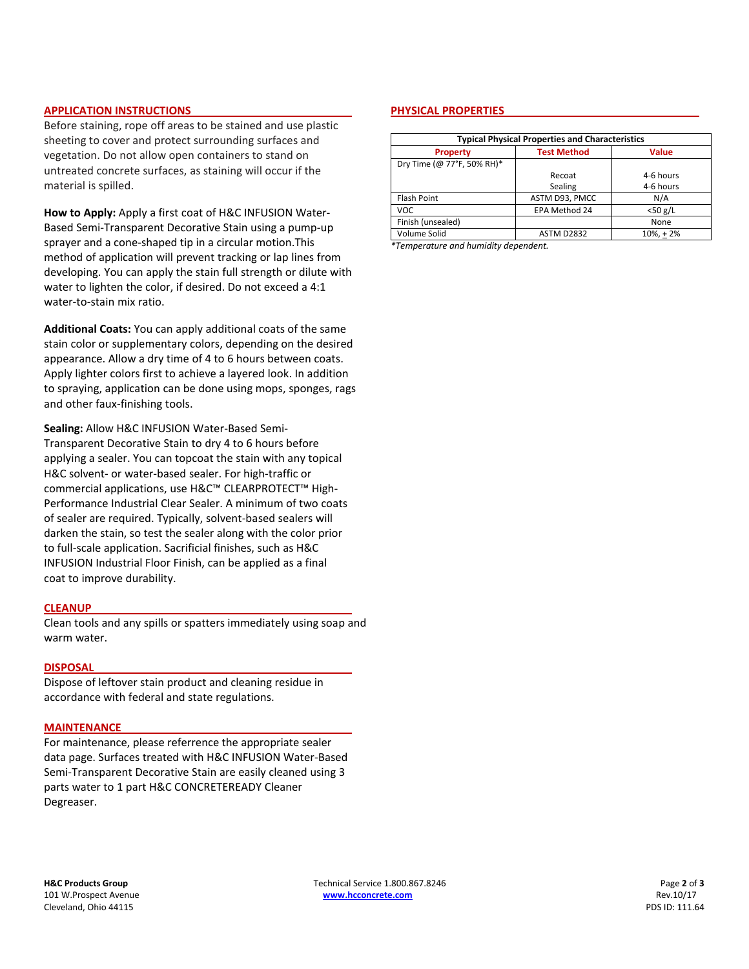#### **APPLICATION INSTRUCTIONS**

Before staining, rope off areas to be stained and use plastic sheeting to cover and protect surrounding surfaces and vegetation. Do not allow open containers to stand on untreated concrete surfaces, as staining will occur if the material is spilled.

**How to Apply:** Apply a first coat of H&C INFUSION Water-Based Semi-Transparent Decorative Stain using a pump-up sprayer and a cone-shaped tip in a circular motion.This method of application will prevent tracking or lap lines from developing. You can apply the stain full strength or dilute with water to lighten the color, if desired. Do not exceed a 4:1 water-to-stain mix ratio.

**Additional Coats:** You can apply additional coats of the same stain color or supplementary colors, depending on the desired appearance. Allow a dry time of 4 to 6 hours between coats. Apply lighter colors first to achieve a layered look. In addition to spraying, application can be done using mops, sponges, rags and other faux-finishing tools.

**Sealing:** Allow H&C INFUSION Water-Based Semi-Transparent Decorative Stain to dry 4 to 6 hours before applying a sealer. You can topcoat the stain with any topical H&C solvent- or water-based sealer. For high-traffic or commercial applications, use H&C™ CLEARPROTECT™ High-Performance Industrial Clear Sealer. A minimum of two coats of sealer are required. Typically, solvent-based sealers will darken the stain, so test the sealer along with the color prior to full-scale application. Sacrificial finishes, such as H&C INFUSION Industrial Floor Finish, can be applied as a final coat to improve durability.

#### **CLEANUP**

Clean tools and any spills or spatters immediately using soap and warm water.

#### **DISPOSAL**

Dispose of leftover stain product and cleaning residue in accordance with federal and state regulations.

#### **MAINTENANCE**

For maintenance, please referrence the appropriate sealer data page. Surfaces treated with H&C INFUSION Water-Based Semi-Transparent Decorative Stain are easily cleaned using 3 parts water to 1 part H&C CONCRETEREADY Cleaner Degreaser.

#### **PHYSICAL PROPERTIES**

| <b>Typical Physical Properties and Characteristics</b> |                    |              |
|--------------------------------------------------------|--------------------|--------------|
| <b>Property</b>                                        | <b>Test Method</b> | <b>Value</b> |
| Dry Time (@ 77°F, 50% RH)*                             |                    |              |
|                                                        | Recoat             | 4-6 hours    |
|                                                        | Sealing            | 4-6 hours    |
| Flash Point                                            | ASTM D93, PMCC     | N/A          |
| <b>VOC</b>                                             | EPA Method 24      | $<$ 50 g/L   |
| Finish (unsealed)                                      |                    | None         |
| Volume Solid                                           | <b>ASTM D2832</b>  | $10\% + 2\%$ |

*\*Temperature and humidity dependent.*